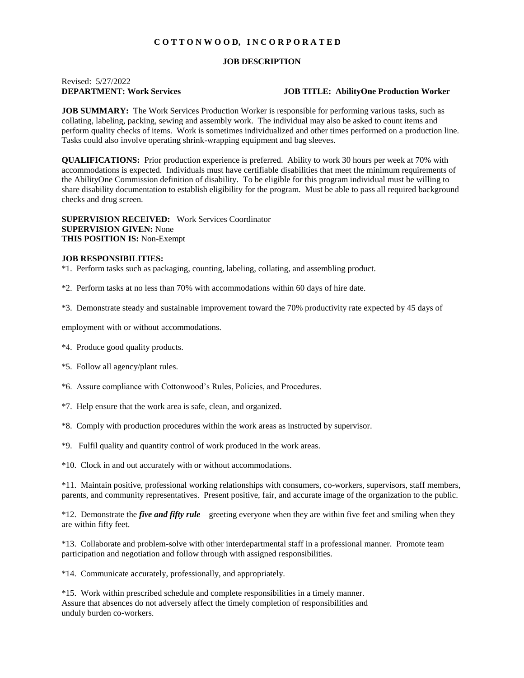## **C O T T O N W O O D, I N C O R P O R A T E D**

## **JOB DESCRIPTION**

# Revised: 5/27/2022

### **DEPARTMENT: Work Services JOB TITLE: AbilityOne Production Worker**

**JOB SUMMARY:** The Work Services Production Worker is responsible for performing various tasks, such as collating, labeling, packing, sewing and assembly work. The individual may also be asked to count items and perform quality checks of items. Work is sometimes individualized and other times performed on a production line. Tasks could also involve operating shrink-wrapping equipment and bag sleeves.

**QUALIFICATIONS:** Prior production experience is preferred. Ability to work 30 hours per week at 70% with accommodations is expected. Individuals must have certifiable disabilities that meet the minimum requirements of the AbilityOne Commission definition of disability. To be eligible for this program individual must be willing to share disability documentation to establish eligibility for the program. Must be able to pass all required background checks and drug screen.

**SUPERVISION RECEIVED:** Work Services Coordinator **SUPERVISION GIVEN:** None **THIS POSITION IS:** Non-Exempt

#### **JOB RESPONSIBILITIES:**

\*1. Perform tasks such as packaging, counting, labeling, collating, and assembling product.

\*2. Perform tasks at no less than 70% with accommodations within 60 days of hire date.

\*3. Demonstrate steady and sustainable improvement toward the 70% productivity rate expected by 45 days of

employment with or without accommodations.

- \*4. Produce good quality products.
- \*5. Follow all agency/plant rules.
- \*6. Assure compliance with Cottonwood's Rules, Policies, and Procedures.
- \*7. Help ensure that the work area is safe, clean, and organized.
- \*8. Comply with production procedures within the work areas as instructed by supervisor.
- \*9. Fulfil quality and quantity control of work produced in the work areas.
- \*10. Clock in and out accurately with or without accommodations.

\*11. Maintain positive, professional working relationships with consumers, co-workers, supervisors, staff members, parents, and community representatives. Present positive, fair, and accurate image of the organization to the public.

\*12. Demonstrate the *five and fifty rule*—greeting everyone when they are within five feet and smiling when they are within fifty feet.

\*13. Collaborate and problem-solve with other interdepartmental staff in a professional manner. Promote team participation and negotiation and follow through with assigned responsibilities.

\*14. Communicate accurately, professionally, and appropriately.

\*15. Work within prescribed schedule and complete responsibilities in a timely manner. Assure that absences do not adversely affect the timely completion of responsibilities and unduly burden co-workers.